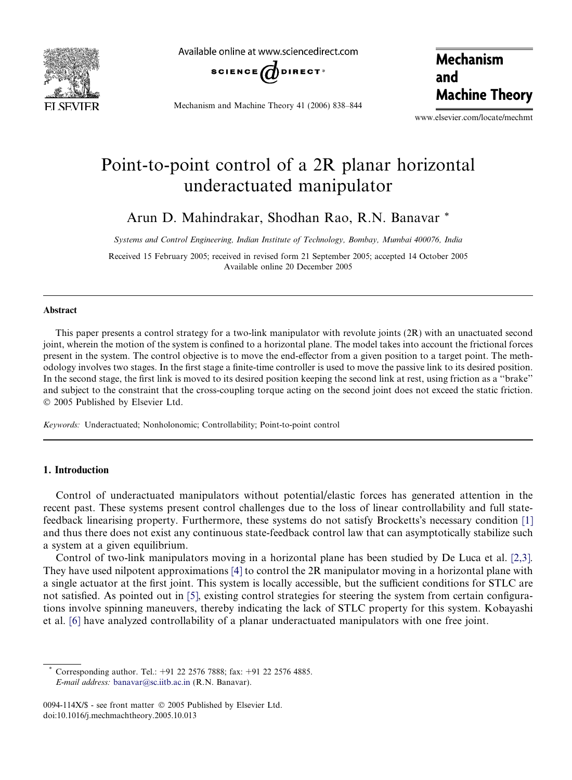

Available online at www.sciencedirect.com



Mechanism and Machine Theory 41 (2006) 838–844

Mechanism and Machine Theory

www.elsevier.com/locate/mechmt

# Point-to-point control of a 2R planar horizontal underactuated manipulator

Arun D. Mahindrakar, Shodhan Rao, R.N. Banavar \*

*Systems and Control Engineering, Indian Institute of Technology, Bombay, Mumbai 400076, India*

Received 15 February 2005; received in revised form 21 September 2005; accepted 14 October 2005 Available online 20 December 2005

## Abstract

This paper presents a control strategy for a two-link manipulator with revolute joints (2R) with an unactuated second joint, wherein the motion of the system is confined to a horizontal plane. The model takes into account the frictional forces present in the system. The control objective is to move the end-effector from a given position to a target point. The methodology involves two stages. In the first stage a finite-time controller is used to move the passive link to its desired position. In the second stage, the first link is moved to its desired position keeping the second link at rest, using friction as a ''brake'' and subject to the constraint that the cross-coupling torque acting on the second joint does not exceed the static friction.  $© 2005$  Published by Elsevier Ltd.

*Keywords:* Underactuated; Nonholonomic; Controllability; Point-to-point control

# 1. Introduction

Control of underactuated manipulators without potential/elastic forces has generated attention in the recent past. These systems present control challenges due to the loss of linear controllability and full statefeedback linearising property. Furthermore, these systems do not satisfy Brocketts's necessary condition [1] and thus there does not exist any continuous state-feedback control law that can asymptotically stabilize such a system at a given equilibrium.

Control of two-link manipulators moving in a horizontal plane has been studied by De Luca et al. [2,3]. They have used nilpotent approximations [4] to control the 2R manipulator moving in a horizontal plane with a single actuator at the first joint. This system is locally accessible, but the sufficient conditions for STLC are not satisfied. As pointed out in [5], existing control strategies for steering the system from certain configurations involve spinning maneuvers, thereby indicating the lack of STLC property for this system. Kobayashi et al. [6] have analyzed controllability of a planar underactuated manipulators with one free joint.

Corresponding author. Tel.: +91 22 2576 7888; fax: +91 22 2576 4885. *E-mail address:* banavar@sc.iitb.ac.in (R.N. Banavar).

<sup>0094-114</sup>X/\$ - see front matter © 2005 Published by Elsevier Ltd. doi:10.1016/j.mechmachtheory.2005.10.013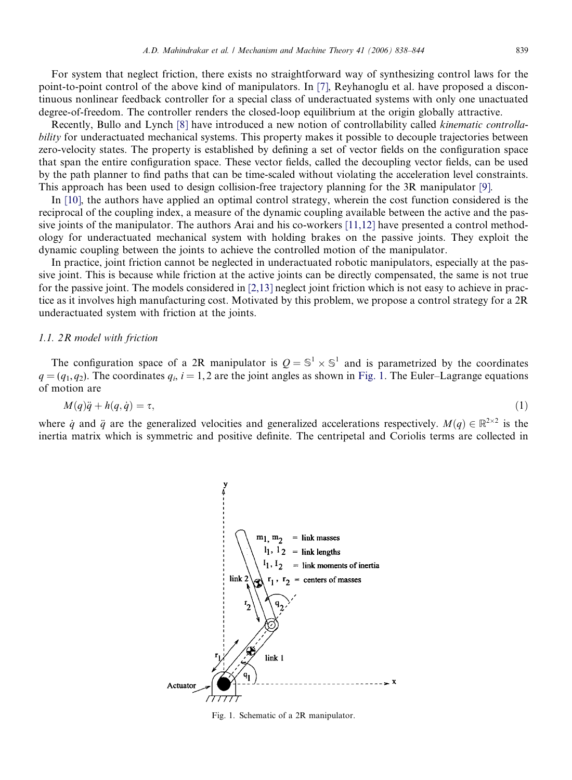For system that neglect friction, there exists no straightforward way of synthesizing control laws for the point-to-point control of the above kind of manipulators. In [7], Reyhanoglu et al. have proposed a discontinuous nonlinear feedback controller for a special class of underactuated systems with only one unactuated degree-of-freedom. The controller renders the closed-loop equilibrium at the origin globally attractive.

Recently, Bullo and Lynch [8] have introduced a new notion of controllability called *kinematic controllability* for underactuated mechanical systems. This property makes it possible to decouple trajectories between zero-velocity states. The property is established by defining a set of vector fields on the configuration space that span the entire configuration space. These vector fields, called the decoupling vector fields, can be used by the path planner to find paths that can be time-scaled without violating the acceleration level constraints. This approach has been used to design collision-free trajectory planning for the 3R manipulator [9].

In [10], the authors have applied an optimal control strategy, wherein the cost function considered is the reciprocal of the coupling index, a measure of the dynamic coupling available between the active and the passive joints of the manipulator. The authors Arai and his co-workers [11,12] have presented a control methodology for underactuated mechanical system with holding brakes on the passive joints. They exploit the dynamic coupling between the joints to achieve the controlled motion of the manipulator.

In practice, joint friction cannot be neglected in underactuated robotic manipulators, especially at the passive joint. This is because while friction at the active joints can be directly compensated, the same is not true for the passive joint. The models considered in [2,13] neglect joint friction which is not easy to achieve in practice as it involves high manufacturing cost. Motivated by this problem, we propose a control strategy for a 2R underactuated system with friction at the joints.

## *1.1. 2R model with friction*

The configuration space of a 2R manipulator is  $Q = \mathbb{S}^1 \times \mathbb{S}^1$  and is parametrized by the coordinates  $q = (q_1, q_2)$ . The coordinates  $q_i$ ,  $i = 1, 2$  are the joint angles as shown in Fig. 1. The Euler–Lagrange equations of motion are

$$
M(q)\ddot{q} + h(q, \dot{q}) = \tau,\tag{1}
$$

where  $\dot{q}$  and  $\ddot{q}$  are the generalized velocities and generalized accelerations respectively.  $M(q) \in \mathbb{R}^{2 \times 2}$  is the inertia matrix which is symmetric and positive definite. The centripetal and Coriolis terms are collected in



Fig. 1. Schematic of a 2R manipulator.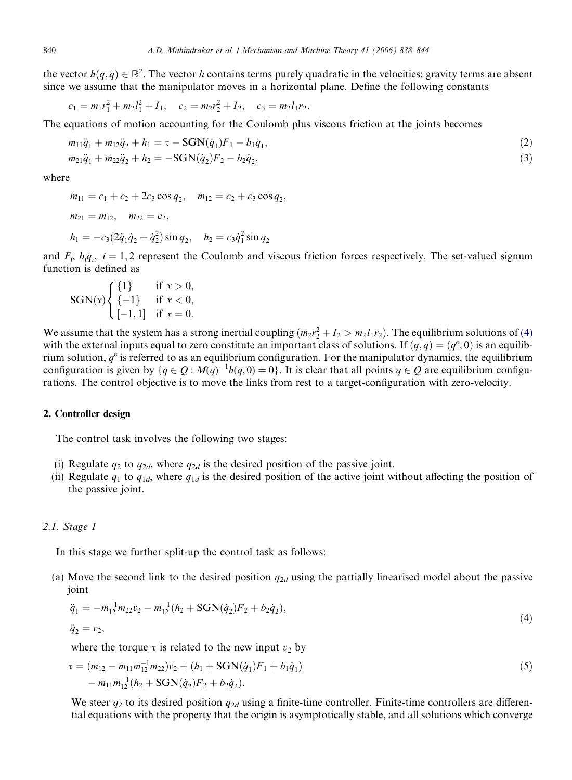the vector  $h(q, \dot{q}) \in \mathbb{R}^2$ . The vector *h* contains terms purely quadratic in the velocities; gravity terms are absent since we assume that the manipulator moves in a horizontal plane. Define the following constants

$$
c_1 = m_1 r_1^2 + m_2 l_1^2 + I_1, \quad c_2 = m_2 r_2^2 + I_2, \quad c_3 = m_2 l_1 r_2.
$$

The equations of motion accounting for the Coulomb plus viscous friction at the joints becomes

$$
m_{11}\ddot{q}_1 + m_{12}\ddot{q}_2 + h_1 = \tau - \text{SGN}(\dot{q}_1)F_1 - b_1\dot{q}_1,
$$
  
\n
$$
m_{21}\ddot{q}_1 + m_{22}\ddot{q}_2 + h_2 = -\text{SGN}(\dot{q}_2)F_2 - b_2\dot{q}_2,
$$
\n(3)

where

$$
m_{11} = c_1 + c_2 + 2c_3 \cos q_2, \quad m_{12} = c_2 + c_3 \cos q_2
$$
  
\n
$$
m_{21} = m_{12}, \quad m_{22} = c_2,
$$
  
\n
$$
h_1 = -c_3(2\dot{q}_1\dot{q}_2 + \dot{q}_2^2)\sin q_2, \quad h_2 = c_3\dot{q}_1^2 \sin q_2
$$

and  $F_i$ ,  $b_i \dot{q}_i$ ,  $i = 1, 2$  represent the Coulomb and viscous friction forces respectively. The set-valued signum function is defined as

;

$$
SGN(x) \begin{cases} \{1\} & \text{if } x > 0, \\ \{-1\} & \text{if } x < 0, \\ [-1,1] & \text{if } x = 0. \end{cases}
$$

We assume that the system has a strong inertial coupling  $(m_2r_2^2 + I_2 > m_2I_1r_2)$ . The equilibrium solutions of (4) with the external inputs equal to zero constitute an important class of solutions. If  $(q, \dot{q}) = (q^e, 0)$  is an equilibrium solution,  $q^e$  is referred to as an equilibrium configuration. For the manipulator dynamics, the equilibrium configuration is given by  $\{q \in Q : M(q)^{-1}h(q, 0) = 0\}$ . It is clear that all points  $q \in Q$  are equilibrium configurations. The control objective is to move the links from rest to a target-configuration with zero-velocity.

#### 2. Controller design

The control task involves the following two stages:

- (i) Regulate  $q_2$  to  $q_{2d}$ , where  $q_{2d}$  is the desired position of the passive joint.
- (ii) Regulate  $q_1$  to  $q_{1d}$ , where  $q_{1d}$  is the desired position of the active joint without affecting the position of the passive joint.

#### *2.1. Stage 1*

In this stage we further split-up the control task as follows:

(a) Move the second link to the desired position  $q_{2d}$  using the partially linearised model about the passive joint

$$
\ddot{q}_1 = -m_{12}^{-1}m_{22}v_2 - m_{12}^{-1}(h_2 + \text{SGN}(\dot{q}_2)F_2 + b_2\dot{q}_2),
$$
  
\n
$$
\ddot{q}_2 = v_2,
$$
\n(4)

where the torque  $\tau$  is related to the new input  $v_2$  by

$$
\tau = (m_{12} - m_{11}m_{12}^{-1}m_{22})v_2 + (h_1 + \text{SGN}(\dot{q}_1)F_1 + b_1\dot{q}_1)
$$
  
- 
$$
m_{11}m_{12}^{-1}(h_2 + \text{SGN}(\dot{q}_2)F_2 + b_2\dot{q}_2).
$$
 (5)

We steer  $q_2$  to its desired position  $q_{2d}$  using a finite-time controller. Finite-time controllers are differential equations with the property that the origin is asymptotically stable, and all solutions which converge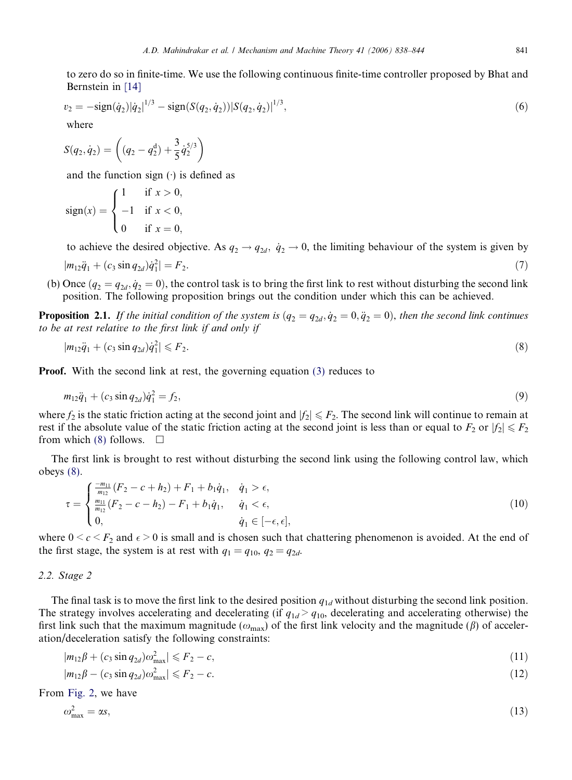to zero do so in finite-time. We use the following continuous finite-time controller proposed by Bhat and Bernstein in [14]

$$
v_2 = -\text{sign}(\dot{q}_2)|\dot{q}_2|^{1/3} - \text{sign}(S(q_2, \dot{q}_2))|S(q_2, \dot{q}_2)|^{1/3},\tag{6}
$$

where

$$
S(q_2, \dot{q}_2) = \left( (q_2 - q_2^d) + \frac{3}{5} \dot{q}_2^{5/3} \right)
$$

and the function sign  $(\cdot)$  is defined as

$$
sign(x) = \begin{cases} 1 & \text{if } x > 0, \\ -1 & \text{if } x < 0, \\ 0 & \text{if } x = 0, \end{cases}
$$

to achieve the desired objective. As  $q_2 \to q_{2d}$ ,  $\dot{q}_2 \to 0$ , the limiting behaviour of the system is given by  $|m_{12}\ddot{q}_1 + (c_3\sin q_{2d})\dot{q}_1^2$  $| = F_2.$  (7)

(b) Once  $(q_2 = q_{2d}, \dot{q}_2 = 0)$ , the control task is to bring the first link to rest without disturbing the second link position. The following proposition brings out the condition under which this can be achieved.

**Proposition 2.1.** If the initial condition of the system is  $(q_2 = q_{2d}, \dot{q}_2 = 0, \ddot{q}_2 = 0)$ , then the second link continues to be at rest relative to the first link if and only if

$$
|m_{12}\ddot{q}_1 + (c_3\sin q_{2d})\dot{q}_1^2| \leq F_2. \tag{8}
$$

Proof. With the second link at rest, the governing equation (3) reduces to

$$
m_{12}\ddot{q}_1 + (c_3\sin q_{2d})\dot{q}_1^2 = f_2,\tag{9}
$$

where  $f_2$  is the static friction acting at the second joint and  $|f_2| \leq F_2$ . The second link will continue to remain at rest if the absolute value of the static friction acting at the second joint is less than or equal to  $F_2$  or  $|f_2| \le F_2$ from which (8) follows.  $\square$ 

The first link is brought to rest without disturbing the second link using the following control law, which obeys (8).

$$
\tau = \begin{cases}\n\frac{-m_{11}}{m_{12}}(F_2 - c + h_2) + F_1 + b_1 \dot{q}_1, & \dot{q}_1 > \epsilon, \\
\frac{m_{11}}{m_{12}}(F_2 - c - h_2) - F_1 + b_1 \dot{q}_1, & \dot{q}_1 < \epsilon, \\
0, & \dot{q}_1 \in [-\epsilon, \epsilon],\n\end{cases}
$$
\n(10)

where  $0 \leq c \leq F_2$  and  $\epsilon > 0$  is small and is chosen such that chattering phenomenon is avoided. At the end of the first stage, the system is at rest with  $q_1 = q_{10}$ ,  $q_2 = q_{2d}$ .

## *2.2. Stage 2*

The final task is to move the first link to the desired position  $q_{1d}$  without disturbing the second link position. The strategy involves accelerating and decelerating (if  $q_{1d}$  >  $q_{10}$ , decelerating and accelerating otherwise) the first link such that the maximum magnitude ( $\omega_{\text{max}}$ ) of the first link velocity and the magnitude ( $\beta$ ) of acceleration/deceleration satisfy the following constraints:

$$
|m_{12}\beta + (c_3 \sin q_{2d})\omega_{\text{max}}^2| \leqslant F_2 - c,\tag{11}
$$

$$
|m_{12}\beta - (c_3 \sin q_{2d})\omega_{\text{max}}^2| \leqslant F_2 - c. \tag{12}
$$

From Fig. 2, we have

$$
\omega_{\text{max}}^2 = \alpha s,\tag{13}
$$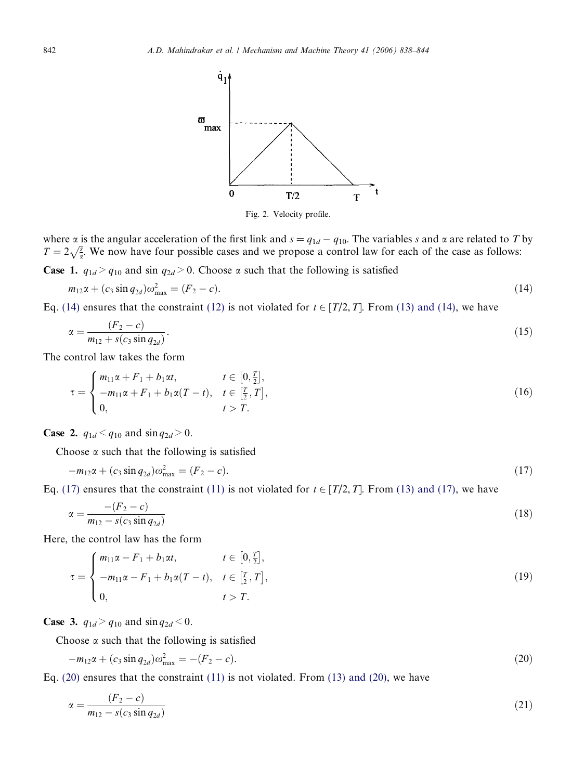

Fig. 2. Velocity profile.

where  $\alpha$  is the angular acceleration of the first link and  $s = q_{1d} - q_{10}$ . The variables *s* and  $\alpha$  are related to *T* by  $T = 2\sqrt{\frac{3}{\alpha}}$ . We now have four possible cases and we propose a control law for each of the case as follows:

**Case 1.**  $q_{1d} > q_{10}$  and sin  $q_{2d} > 0$ . Choose  $\alpha$  such that the following is satisfied

$$
m_{12}\alpha + (c_3 \sin q_{2d})\omega_{\text{max}}^2 = (F_2 - c). \tag{14}
$$

Eq. (14) ensures that the constraint (12) is not violated for  $t \in [T/2, T]$ . From (13) and (14), we have

$$
\alpha = \frac{(F_2 - c)}{m_{12} + s(c_3 \sin q_{2d})}.
$$
\n(15)

The control law takes the form

$$
\tau = \begin{cases} m_{11}\alpha + F_1 + b_1\alpha t, & t \in [0, \frac{r}{2}], \\ -m_{11}\alpha + F_1 + b_1\alpha (T - t), & t \in [\frac{r}{2}, T], \\ 0, & t > T. \end{cases}
$$
(16)

**Case 2.**  $q_{1d} < q_{10}$  and  $\sin q_{2d} > 0$ .

Choose  $\alpha$  such that the following is satisfied

$$
-m_{12}\alpha + (c_3 \sin q_{2d})\omega_{\text{max}}^2 = (F_2 - c). \tag{17}
$$

Eq. (17) ensures that the constraint (11) is not violated for  $t \in [T/2, T]$ . From (13) and (17), we have

$$
\alpha = \frac{- (F_2 - c)}{m_{12} - s(c_3 \sin q_{2d})} \tag{18}
$$

Here, the control law has the form

$$
\tau = \begin{cases} m_{11}\alpha - F_1 + b_1\alpha t, & t \in [0, \frac{T}{2}], \\ -m_{11}\alpha - F_1 + b_1\alpha (T - t), & t \in [\frac{T}{2}, T], \\ 0, & t > T. \end{cases}
$$
(19)

**Case 3.**  $q_{1d} > q_{10}$  and  $\sin q_{2d} < 0$ .

Choose  $\alpha$  such that the following is satisfied

$$
-m_{12}\alpha + (c_3 \sin q_{2d})\omega_{\text{max}}^2 = -(F_2 - c). \tag{20}
$$

Eq.  $(20)$  ensures that the constraint  $(11)$  is not violated. From  $(13)$  and  $(20)$ , we have

$$
\alpha = \frac{(F_2 - c)}{m_{12} - s(c_3 \sin q_{2d})} \tag{21}
$$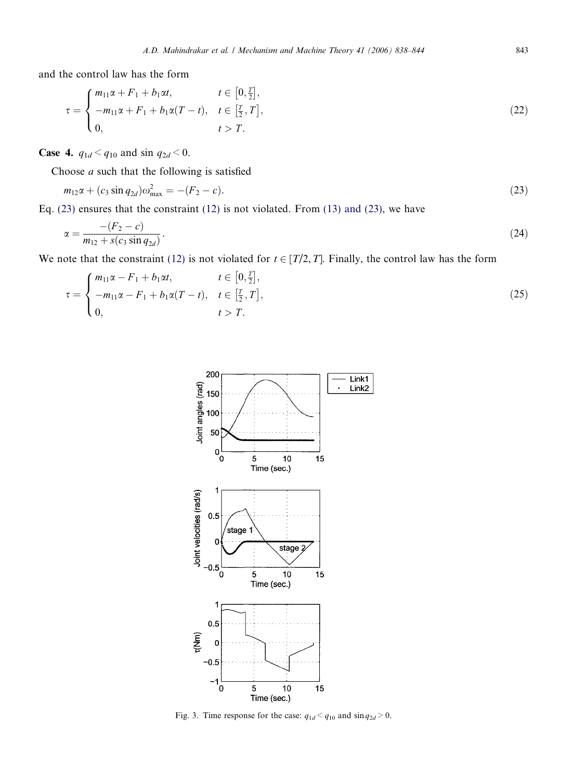and the control law has the form

$$
\tau = \begin{cases} m_{11}\alpha + F_1 + b_1\alpha t, & t \in [0, \frac{r}{2}], \\ -m_{11}\alpha + F_1 + b_1\alpha (T - t), & t \in [\frac{r}{2}, T], \\ 0, & t > T. \end{cases}
$$
(22)

**Case 4.**  $q_{1d} < q_{10}$  and sin  $q_{2d} < 0$ .

Choose  $a$  such that the following is satisfied

$$
m_{12}\alpha + (c_3 \sin q_{2d})\omega_{\text{max}}^2 = -(F_2 - c). \tag{23}
$$

Eq. (23) ensures that the constraint (12) is not violated. From (13) and (23), we have

$$
\alpha = \frac{-(F_2 - c)}{m_{12} + s(c_3 \sin q_{2d})}.\tag{24}
$$

We note that the constraint (12) is not violated for  $t \in [T/2, T]$ . Finally, the control law has the form

$$
\tau = \begin{cases} m_{11}\alpha - F_1 + b_1\alpha t, & t \in [0, \frac{r}{2}], \\ -m_{11}\alpha - F_1 + b_1\alpha (T - t), & t \in [\frac{r}{2}, T], \\ 0, & t > T. \end{cases}
$$
(25)



Fig. 3. Time response for the case:  $q_{1d} < q_{10}$  and  $\sin q_{2d} > 0$ .